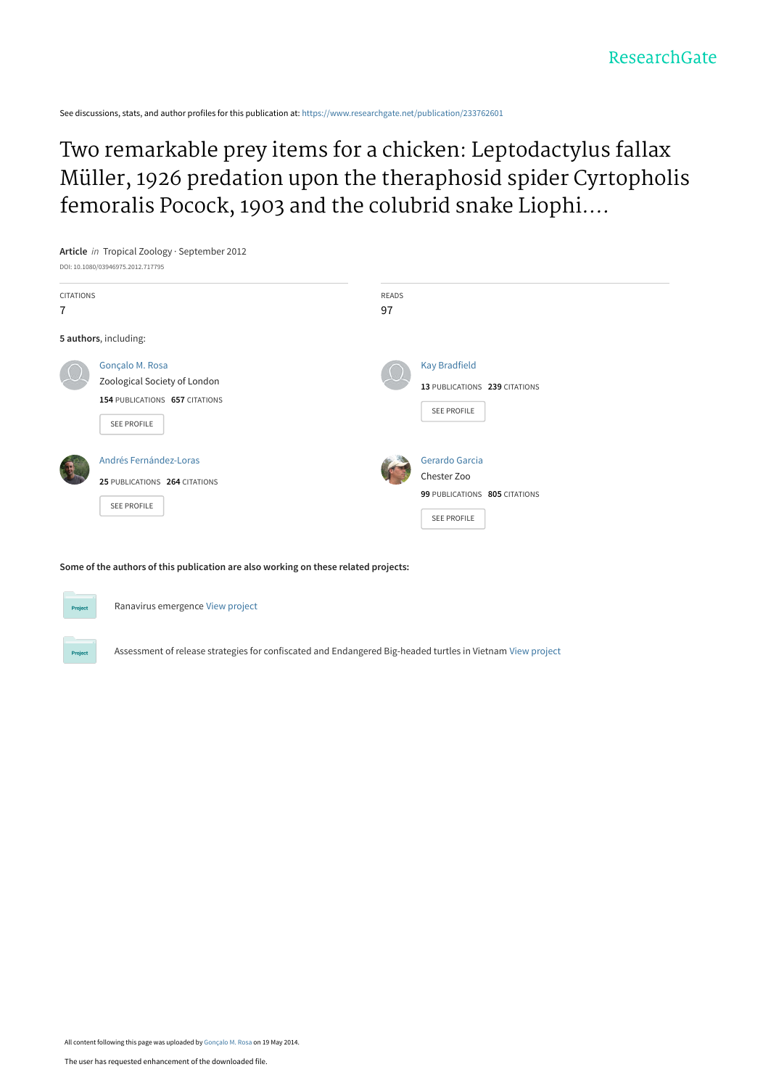See discussions, stats, and author profiles for this publication at: [https://www.researchgate.net/publication/233762601](https://www.researchgate.net/publication/233762601_Two_remarkable_prey_items_for_a_chicken_Leptodactylus_fallax_Muller_1926_predation_upon_the_theraphosid_spider_Cyrtopholis_femoralis_Pocock_1903_and_the_colubrid_snake_Liophis_juliae_Cope_1879?enrichId=rgreq-dd2d2c5347e5e7d86fe5b9ee3a3ee27b-XXX&enrichSource=Y292ZXJQYWdlOzIzMzc2MjYwMTtBUzo5ODY1NjM0MjUxMTYyMkAxNDAwNTMyOTEzNDE2&el=1_x_2&_esc=publicationCoverPdf)

Two remarkable prey items for a chicken: Leptodactylus fallax Müller, 1926 predation upon the theraphosid spider Cyrtopholis femoralis Pocock, 1903 and the colubrid snake Liophi....



**Some of the authors of this publication are also working on these related projects:**



Ranavirus emergence [View project](https://www.researchgate.net/project/Ranavirus-emergence?enrichId=rgreq-dd2d2c5347e5e7d86fe5b9ee3a3ee27b-XXX&enrichSource=Y292ZXJQYWdlOzIzMzc2MjYwMTtBUzo5ODY1NjM0MjUxMTYyMkAxNDAwNTMyOTEzNDE2&el=1_x_9&_esc=publicationCoverPdf)



Assessment of release strategies for confiscated and Endangered Big-headed turtles in Vietnam [View project](https://www.researchgate.net/project/Assessment-of-release-strategies-for-confiscated-and-Endangered-Big-headed-turtles-in-Vietnam?enrichId=rgreq-dd2d2c5347e5e7d86fe5b9ee3a3ee27b-XXX&enrichSource=Y292ZXJQYWdlOzIzMzc2MjYwMTtBUzo5ODY1NjM0MjUxMTYyMkAxNDAwNTMyOTEzNDE2&el=1_x_9&_esc=publicationCoverPdf)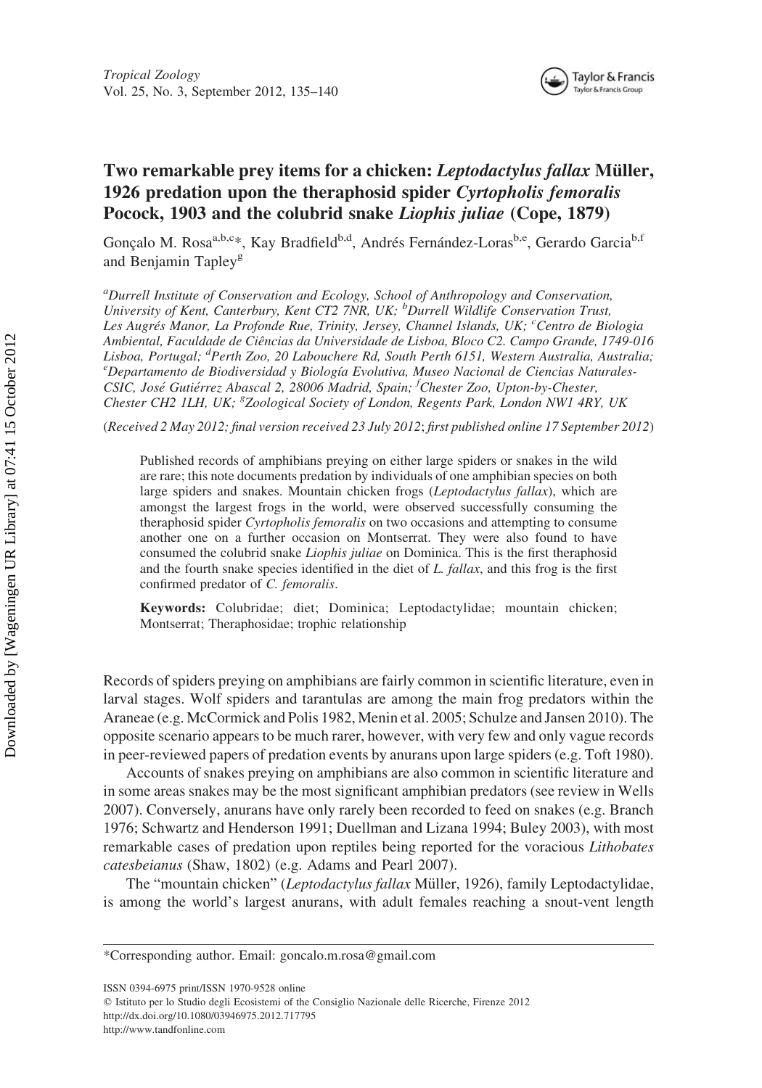

## Two remarkable prey items for a chicken: Leptodactylus fallax Müller, 1926 predation upon the theraphosid spider Cyrtopholis femoralis Pocock, 1903 and the colubrid snake Liophis juliae (Cope, 1879)

Gonçalo M. Rosa<sup>a,b,c</sup>\*, Kay Bradfield<sup>b,d</sup>, Andrés Fernández-Loras<sup>b,e</sup>, Gerardo Garcia<sup>b,f</sup> and Benjamin Tapley<sup>g</sup>

<sup>a</sup>Durrell Institute of Conservation and Ecology, School of Anthropology and Conservation, University of Kent, Canterbury, Kent CT2 7NR, UK; <sup>b</sup>Durrell Wildlife Conservation Trust, Les Augrés Manor, La Profonde Rue, Trinity, Jersey, Channel Islands, UK; <sup>c</sup>Centro de Biologia Ambiental, Faculdade de Ciências da Universidade de Lisboa, Bloco C2. Campo Grande, 1749-016 Lisboa, Portugal; <sup>d</sup>Perth Zoo, 20 Labouchere Rd, South Perth 6151, Western Australia, Australia;<br><sup>e</sup> Departamento de Biodiversidad y Biología Evolutiva, Museo Nacional de Cinneias Naturales  $e^{\theta}$ Departamento de Biodiversidad y Biología Evolutiva, Museo Nacional de Ciencias Naturales-CSIC, José Gutiérrez Abascal 2, 28006 Madrid, Spain; <sup>f</sup>Chester Zoo, Upton-by-Chester, Chester CH2 1LH, UK; <sup>8</sup>Zoological Society of London, Regents Park, London NW1 4RY, UK

(Received 2 May 2012; final version received 23 July 2012; first published online 17 September 2012)

Published records of amphibians preying on either large spiders or snakes in the wild are rare; this note documents predation by individuals of one amphibian species on both large spiders and snakes. Mountain chicken frogs (Leptodactylus fallax), which are amongst the largest frogs in the world, were observed successfully consuming the theraphosid spider Cyrtopholis femoralis on two occasions and attempting to consume another one on a further occasion on Montserrat. They were also found to have consumed the colubrid snake Liophis juliae on Dominica. This is the first theraphosid and the fourth snake species identified in the diet of  $L$ , fallax, and this frog is the first confirmed predator of C. femoralis.

Keywords: Colubridae; diet; Dominica; Leptodactylidae; mountain chicken; Montserrat; Theraphosidae; trophic relationship

Records of spiders preying on amphibians are fairly common in scientific literature, even in larval stages. Wolf spiders and tarantulas are among the main frog predators within the Araneae (e.g. McCormick and Polis 1982, Menin et al. 2005; Schulze and Jansen 2010). The opposite scenario appears to be much rarer, however, with very few and only vague records in peer-reviewed papers of predation events by anurans upon large spiders (e.g. Toft 1980).

Accounts of snakes preying on amphibians are also common in scientific literature and in some areas snakes may be the most significant amphibian predators (see review in Wells 2007). Conversely, anurans have only rarely been recorded to feed on snakes (e.g. Branch 1976; Schwartz and Henderson 1991; Duellman and Lizana 1994; Buley 2003), with most remarkable cases of predation upon reptiles being reported for the voracious Lithobates catesbeianus (Shaw, 1802) (e.g. Adams and Pearl 2007).

The "mountain chicken" (Leptodactylus fallax Müller, 1926), family Leptodactylidae, is among the world's largest anurans, with adult females reaching a snout-vent length

ISSN 0394-6975 print/ISSN 1970-9528 online

q Istituto per lo Studio degli Ecosistemi of the Consiglio Nazionale delle Ricerche, Firenze 2012 <http://dx.doi.org/10.1080/03946975.2012.717795>

<http://www.tandfonline.com>

<sup>\*</sup>Corresponding author. Email: goncalo.m.rosa@gmail.com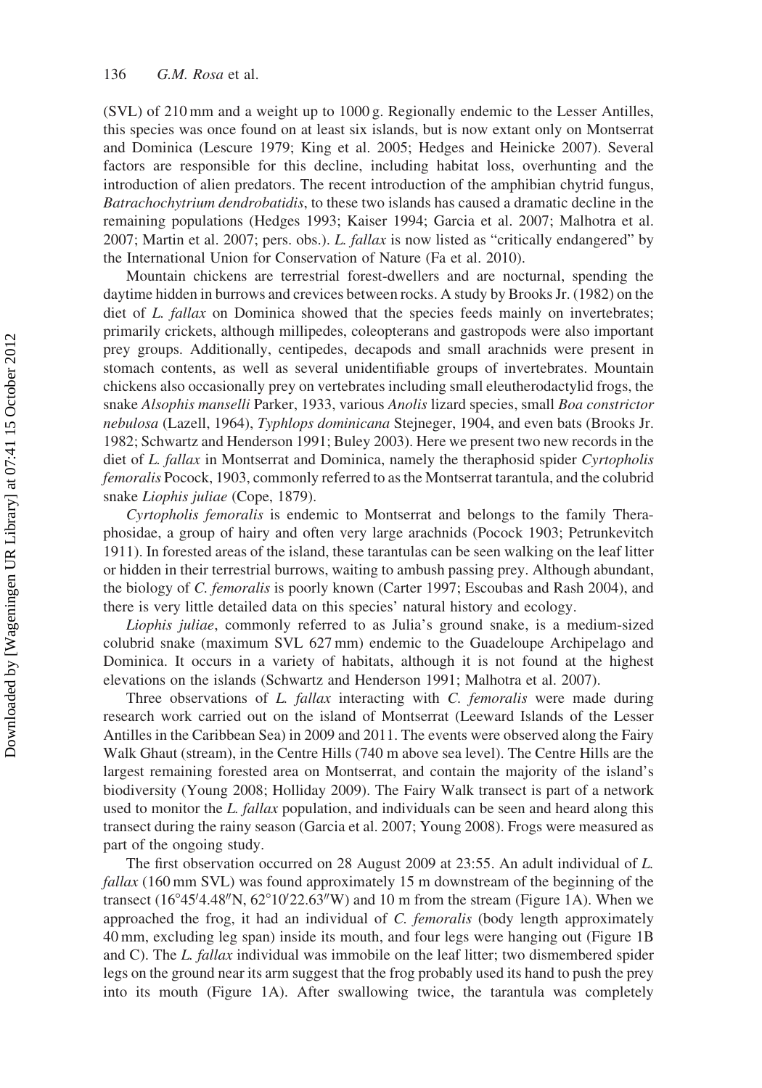(SVL) of 210 mm and a weight up to 1000 g. Regionally endemic to the Lesser Antilles, this species was once found on at least six islands, but is now extant only on Montserrat and Dominica (Lescure 1979; King et al. 2005; Hedges and Heinicke 2007). Several factors are responsible for this decline, including habitat loss, overhunting and the introduction of alien predators. The recent introduction of the amphibian chytrid fungus, Batrachochytrium dendrobatidis, to these two islands has caused a dramatic decline in the remaining populations (Hedges 1993; Kaiser 1994; Garcia et al. 2007; Malhotra et al. 2007; Martin et al. 2007; pers. obs.). L. fallax is now listed as "critically endangered" by the International Union for Conservation of Nature (Fa et al. 2010).

Mountain chickens are terrestrial forest-dwellers and are nocturnal, spending the daytime hidden in burrows and crevices between rocks. A study by Brooks Jr. (1982) on the diet of L. fallax on Dominica showed that the species feeds mainly on invertebrates; primarily crickets, although millipedes, coleopterans and gastropods were also important prey groups. Additionally, centipedes, decapods and small arachnids were present in stomach contents, as well as several unidentifiable groups of invertebrates. Mountain chickens also occasionally prey on vertebrates including small eleutherodactylid frogs, the snake Alsophis manselli Parker, 1933, various Anolis lizard species, small Boa constrictor nebulosa (Lazell, 1964), Typhlops dominicana Stejneger, 1904, and even bats (Brooks Jr. 1982; Schwartz and Henderson 1991; Buley 2003). Here we present two new records in the diet of L. fallax in Montserrat and Dominica, namely the theraphosid spider Cyrtopholis femoralis Pocock, 1903, commonly referred to as the Montserrat tarantula, and the colubrid snake Liophis juliae (Cope, 1879).

Cyrtopholis femoralis is endemic to Montserrat and belongs to the family Theraphosidae, a group of hairy and often very large arachnids (Pocock 1903; Petrunkevitch 1911). In forested areas of the island, these tarantulas can be seen walking on the leaf litter or hidden in their terrestrial burrows, waiting to ambush passing prey. Although abundant, the biology of C. femoralis is poorly known (Carter 1997; Escoubas and Rash 2004), and there is very little detailed data on this species' natural history and ecology.

Liophis juliae, commonly referred to as Julia's ground snake, is a medium-sized colubrid snake (maximum SVL 627 mm) endemic to the Guadeloupe Archipelago and Dominica. It occurs in a variety of habitats, although it is not found at the highest elevations on the islands (Schwartz and Henderson 1991; Malhotra et al. 2007).

Three observations of L. fallax interacting with C. femoralis were made during research work carried out on the island of Montserrat (Leeward Islands of the Lesser Antilles in the Caribbean Sea) in 2009 and 2011. The events were observed along the Fairy Walk Ghaut (stream), in the Centre Hills (740 m above sea level). The Centre Hills are the largest remaining forested area on Montserrat, and contain the majority of the island's biodiversity (Young 2008; Holliday 2009). The Fairy Walk transect is part of a network used to monitor the L. fallax population, and individuals can be seen and heard along this transect during the rainy season (Garcia et al. 2007; Young 2008). Frogs were measured as part of the ongoing study.

The first observation occurred on 28 August 2009 at 23:55. An adult individual of L.  $fallax$  (160 mm SVL) was found approximately 15 m downstream of the beginning of the transect  $(16^{\circ}45'4.48''N, 62^{\circ}10'22.63''W)$  and 10 m from the stream (Figure 1A). When we approached the frog, it had an individual of C. femoralis (body length approximately 40 mm, excluding leg span) inside its mouth, and four legs were hanging out (Figure 1B and C). The L. fallax individual was immobile on the leaf litter; two dismembered spider legs on the ground near its arm suggest that the frog probably used its hand to push the prey into its mouth (Figure 1A). After swallowing twice, the tarantula was completely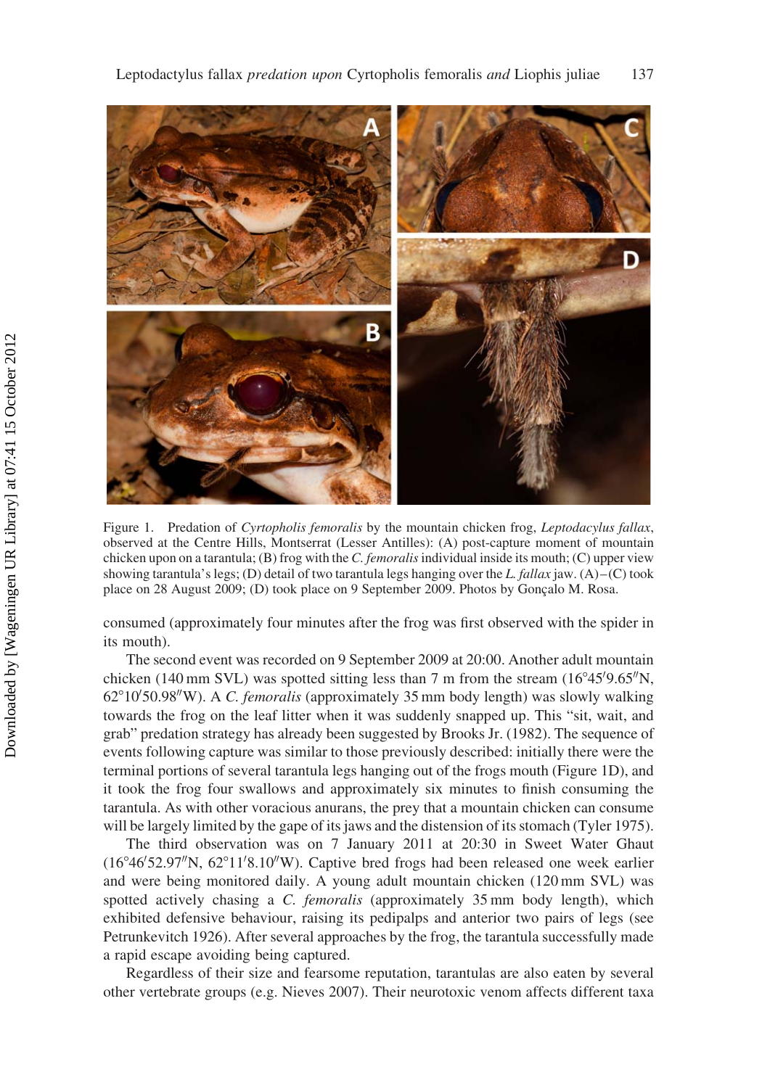

Figure 1. Predation of Cyrtopholis femoralis by the mountain chicken frog, Leptodacylus fallax, observed at the Centre Hills, Montserrat (Lesser Antilles): (A) post-capture moment of mountain chicken upon on a tarantula; (B) frog with the C. femoralis individual inside its mouth; (C) upper view showing tarantula's legs; (D) detail of two tarantula legs hanging over the L. fallax jaw. (A)–(C) took place on 28 August 2009; (D) took place on 9 September 2009. Photos by Gonçalo M. Rosa.

consumed (approximately four minutes after the frog was first observed with the spider in its mouth).

The second event was recorded on 9 September 2009 at 20:00. Another adult mountain chicken (140 mm SVL) was spotted sitting less than 7 m from the stream  $(16^{\circ}45'9.65''N,$ 62°10'50.98"W). A C. femoralis (approximately 35 mm body length) was slowly walking towards the frog on the leaf litter when it was suddenly snapped up. This "sit, wait, and grab" predation strategy has already been suggested by Brooks Jr. (1982). The sequence of events following capture was similar to those previously described: initially there were the terminal portions of several tarantula legs hanging out of the frogs mouth (Figure 1D), and it took the frog four swallows and approximately six minutes to finish consuming the tarantula. As with other voracious anurans, the prey that a mountain chicken can consume will be largely limited by the gape of its jaws and the distension of its stomach (Tyler 1975).

The third observation was on 7 January 2011 at 20:30 in Sweet Water Ghaut (16°46'52.97"N, 62°11'8.10"W). Captive bred frogs had been released one week earlier and were being monitored daily. A young adult mountain chicken (120 mm SVL) was spotted actively chasing a C. femoralis (approximately 35 mm body length), which exhibited defensive behaviour, raising its pedipalps and anterior two pairs of legs (see Petrunkevitch 1926). After several approaches by the frog, the tarantula successfully made a rapid escape avoiding being captured.

Regardless of their size and fearsome reputation, tarantulas are also eaten by several other vertebrate groups (e.g. Nieves 2007). Their neurotoxic venom affects different taxa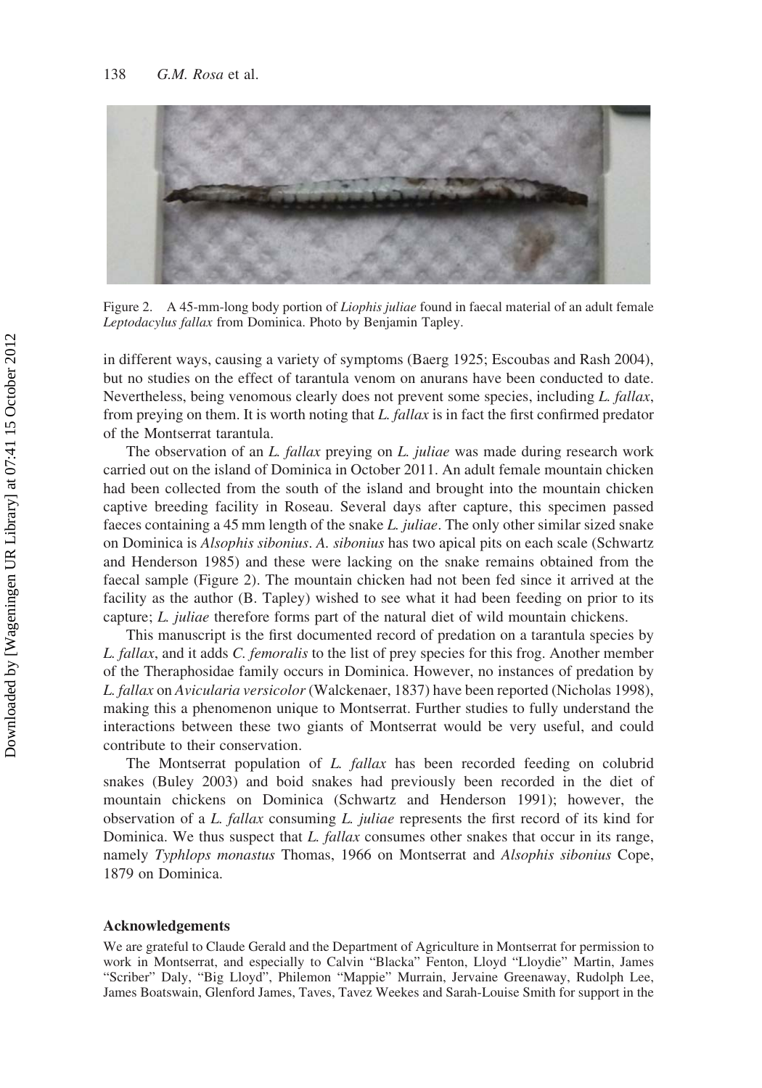

Figure 2. A 45-mm-long body portion of *Liophis juliae* found in faecal material of an adult female Leptodacylus fallax from Dominica. Photo by Benjamin Tapley.

in different ways, causing a variety of symptoms (Baerg 1925; Escoubas and Rash 2004), but no studies on the effect of tarantula venom on anurans have been conducted to date. Nevertheless, being venomous clearly does not prevent some species, including L. fallax, from preying on them. It is worth noting that L. fallax is in fact the first confirmed predator of the Montserrat tarantula.

The observation of an L. fallax preving on L. juliae was made during research work carried out on the island of Dominica in October 2011. An adult female mountain chicken had been collected from the south of the island and brought into the mountain chicken captive breeding facility in Roseau. Several days after capture, this specimen passed faeces containing a 45 mm length of the snake L. juliae. The only other similar sized snake on Dominica is Alsophis sibonius. A. sibonius has two apical pits on each scale (Schwartz and Henderson 1985) and these were lacking on the snake remains obtained from the faecal sample (Figure 2). The mountain chicken had not been fed since it arrived at the facility as the author (B. Tapley) wished to see what it had been feeding on prior to its capture; L. juliae therefore forms part of the natural diet of wild mountain chickens.

This manuscript is the first documented record of predation on a tarantula species by L. fallax, and it adds C. femoralis to the list of prey species for this frog. Another member of the Theraphosidae family occurs in Dominica. However, no instances of predation by L. fallax on Avicularia versicolor (Walckenaer, 1837) have been reported (Nicholas 1998), making this a phenomenon unique to Montserrat. Further studies to fully understand the interactions between these two giants of Montserrat would be very useful, and could contribute to their conservation.

The Montserrat population of L. fallax has been recorded feeding on colubrid snakes (Buley 2003) and boid snakes had previously been recorded in the diet of mountain chickens on Dominica (Schwartz and Henderson 1991); however, the observation of a L. fallax consuming L. juliae represents the first record of its kind for Dominica. We thus suspect that L. fallax consumes other snakes that occur in its range, namely Typhlops monastus Thomas, 1966 on Montserrat and Alsophis sibonius Cope, 1879 on Dominica.

## Acknowledgements

We are grateful to Claude Gerald and the Department of Agriculture in Montserrat for permission to work in Montserrat, and especially to Calvin "Blacka" Fenton, Lloyd "Lloydie" Martin, James "Scriber" Daly, "Big Lloyd", Philemon "Mappie" Murrain, Jervaine Greenaway, Rudolph Lee, James Boatswain, Glenford James, Taves, Tavez Weekes and Sarah-Louise Smith for support in the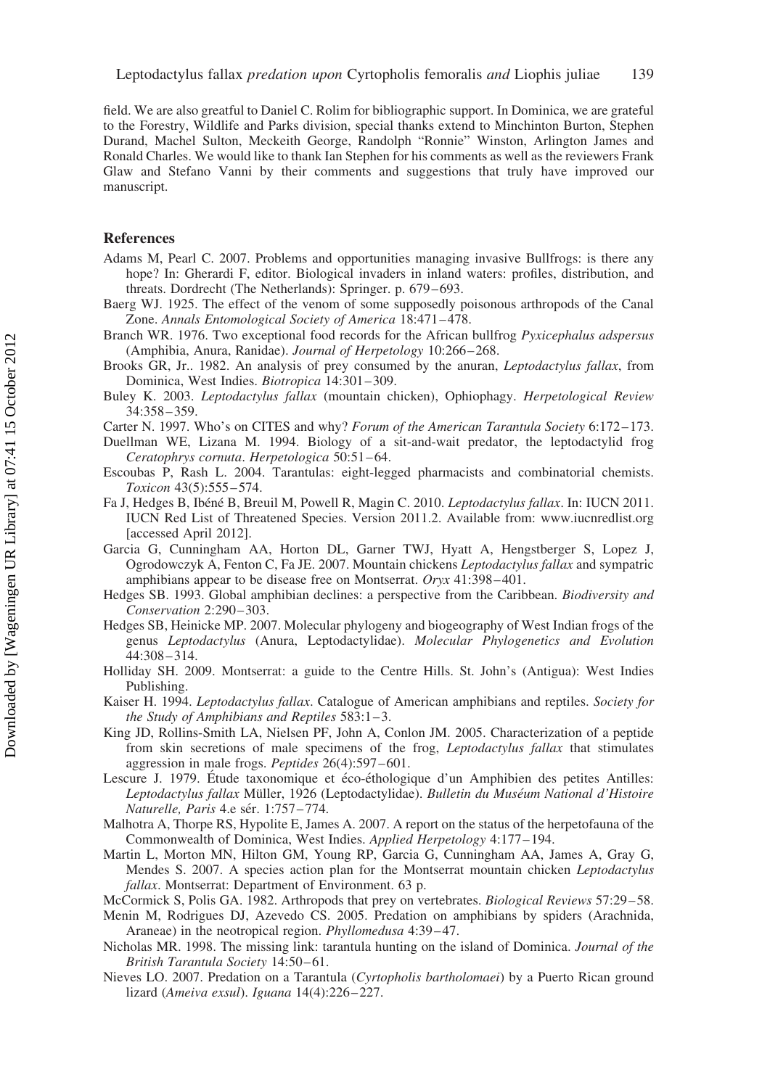field. We are also greatful to Daniel C. Rolim for bibliographic support. In Dominica, we are grateful to the Forestry, Wildlife and Parks division, special thanks extend to Minchinton Burton, Stephen Durand, Machel Sulton, Meckeith George, Randolph "Ronnie" Winston, Arlington James and Ronald Charles. We would like to thank Ian Stephen for his comments as well as the reviewers Frank Glaw and Stefano Vanni by their comments and suggestions that truly have improved our manuscript.

## References

- Adams M, Pearl C. 2007. Problems and opportunities managing invasive Bullfrogs: is there any hope? In: Gherardi F, editor. Biological invaders in inland waters: profiles, distribution, and threats. Dordrecht (The Netherlands): Springer. p. 679–693.
- Baerg WJ. 1925. The effect of the venom of some supposedly poisonous arthropods of the Canal Zone. Annals Entomological Society of America 18:471–478.
- Branch WR. 1976. Two exceptional food records for the African bullfrog Pyxicephalus adspersus (Amphibia, Anura, Ranidae). Journal of Herpetology 10:266–268.
- Brooks GR, Jr.. 1982. An analysis of prey consumed by the anuran, Leptodactylus fallax, from Dominica, West Indies. Biotropica 14:301–309.
- Buley K. 2003. Leptodactylus fallax (mountain chicken), Ophiophagy. Herpetological Review 34:358–359.
- Carter N. 1997. Who's on CITES and why? Forum of the American Tarantula Society 6:172–173.
- Duellman WE, Lizana M. 1994. Biology of a sit-and-wait predator, the leptodactylid frog Ceratophrys cornuta. Herpetologica 50:51–64.
- Escoubas P, Rash L. 2004. Tarantulas: eight-legged pharmacists and combinatorial chemists. Toxicon 43(5):555–574.
- Fa J, Hedges B, Ibéné B, Breuil M, Powell R, Magin C. 2010. Leptodactylus fallax. In: IUCN 2011. IUCN Red List of Threatened Species. Version 2011.2. Available from: [www.iucnredlist.org](http://www.iucnredlist.org) [accessed April 2012].
- Garcia G, Cunningham AA, Horton DL, Garner TWJ, Hyatt A, Hengstberger S, Lopez J, Ogrodowczyk A, Fenton C, Fa JE. 2007. Mountain chickens Leptodactylus fallax and sympatric amphibians appear to be disease free on Montserrat. Oryx 41:398–401.
- Hedges SB. 1993. Global amphibian declines: a perspective from the Caribbean. Biodiversity and Conservation 2:290–303.
- Hedges SB, Heinicke MP. 2007. Molecular phylogeny and biogeography of West Indian frogs of the genus Leptodactylus (Anura, Leptodactylidae). Molecular Phylogenetics and Evolution 44:308–314.
- Holliday SH. 2009. Montserrat: a guide to the Centre Hills. St. John's (Antigua): West Indies Publishing.
- Kaiser H. 1994. Leptodactylus fallax. Catalogue of American amphibians and reptiles. Society for the Study of Amphibians and Reptiles 583:1–3.
- King JD, Rollins-Smith LA, Nielsen PF, John A, Conlon JM. 2005. Characterization of a peptide from skin secretions of male specimens of the frog, Leptodactylus fallax that stimulates aggression in male frogs. Peptides 26(4):597–601.
- Lescure J. 1979. Etude taxonomique et éco-éthologique d'un Amphibien des petites Antilles: Leptodactylus fallax Müller, 1926 (Leptodactylidae). Bulletin du Muséum National d'Histoire Naturelle, Paris 4.e sér. 1:757–774.
- Malhotra A, Thorpe RS, Hypolite E, James A. 2007. A report on the status of the herpetofauna of the Commonwealth of Dominica, West Indies. Applied Herpetology 4:177–194.
- Martin L, Morton MN, Hilton GM, Young RP, Garcia G, Cunningham AA, James A, Gray G, Mendes S. 2007. A species action plan for the Montserrat mountain chicken Leptodactylus fallax. Montserrat: Department of Environment. 63 p.
- McCormick S, Polis GA. 1982. Arthropods that prey on vertebrates. Biological Reviews 57:29–58.
- Menin M, Rodrigues DJ, Azevedo CS. 2005. Predation on amphibians by spiders (Arachnida, Araneae) in the neotropical region. Phyllomedusa 4:39–47.
- Nicholas MR. 1998. The missing link: tarantula hunting on the island of Dominica. Journal of the British Tarantula Society 14:50–61.
- Nieves LO. 2007. Predation on a Tarantula (Cyrtopholis bartholomaei) by a Puerto Rican ground lizard (Ameiva exsul). Iguana 14(4):226–227.

Downloaded by [Wageningen UR Library] at 07:41 15 October 2012 Downloaded by [Wageningen UR Library] at 07:41 15 October 2012